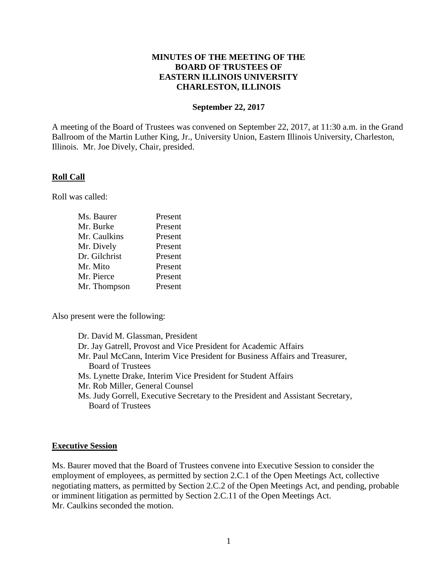## **MINUTES OF THE MEETING OF THE BOARD OF TRUSTEES OF EASTERN ILLINOIS UNIVERSITY CHARLESTON, ILLINOIS**

#### **September 22, 2017**

A meeting of the Board of Trustees was convened on September 22, 2017, at 11:30 a.m. in the Grand Ballroom of the Martin Luther King, Jr., University Union, Eastern Illinois University, Charleston, Illinois. Mr. Joe Dively, Chair, presided.

#### **Roll Call**

Roll was called:

| Ms. Baurer    | Present |
|---------------|---------|
| Mr. Burke     | Present |
| Mr. Caulkins  | Present |
| Mr. Dively    | Present |
| Dr. Gilchrist | Present |
| Mr. Mito      | Present |
| Mr. Pierce    | Present |
| Mr. Thompson  | Present |

Also present were the following:

Dr. David M. Glassman, President Dr. Jay Gatrell, Provost and Vice President for Academic Affairs Mr. Paul McCann, Interim Vice President for Business Affairs and Treasurer, Board of Trustees Ms. Lynette Drake, Interim Vice President for Student Affairs Mr. Rob Miller, General Counsel Ms. Judy Gorrell, Executive Secretary to the President and Assistant Secretary, Board of Trustees

#### **Executive Session**

Ms. Baurer moved that the Board of Trustees convene into Executive Session to consider the employment of employees, as permitted by section 2.C.1 of the Open Meetings Act, collective negotiating matters, as permitted by Section 2.C.2 of the Open Meetings Act, and pending, probable or imminent litigation as permitted by Section 2.C.11 of the Open Meetings Act. Mr. Caulkins seconded the motion.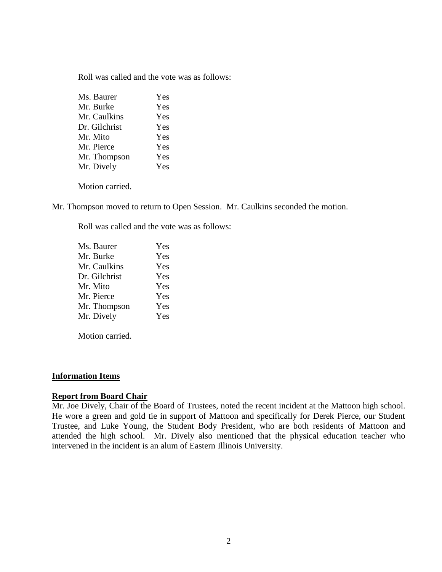Roll was called and the vote was as follows:

| Ms. Baurer    | Yes |
|---------------|-----|
| Mr. Burke     | Yes |
| Mr. Caulkins  | Yes |
| Dr. Gilchrist | Yes |
| Mr. Mito      | Yes |
| Mr. Pierce    | Yes |
| Mr. Thompson  | Yes |
| Mr. Dively    | Yes |
|               |     |

Motion carried.

Mr. Thompson moved to return to Open Session. Mr. Caulkins seconded the motion.

Roll was called and the vote was as follows:

| Ms. Baurer    | Yes |
|---------------|-----|
| Mr. Burke     | Yes |
| Mr. Caulkins  | Yes |
| Dr. Gilchrist | Yes |
| Mr. Mito      | Yes |
| Mr. Pierce    | Yes |
| Mr. Thompson  | Yes |
| Mr. Dively    | Yes |
|               |     |

Motion carried.

#### **Information Items**

## **Report from Board Chair**

Mr. Joe Dively, Chair of the Board of Trustees, noted the recent incident at the Mattoon high school. He wore a green and gold tie in support of Mattoon and specifically for Derek Pierce, our Student Trustee, and Luke Young, the Student Body President, who are both residents of Mattoon and attended the high school. Mr. Dively also mentioned that the physical education teacher who intervened in the incident is an alum of Eastern Illinois University.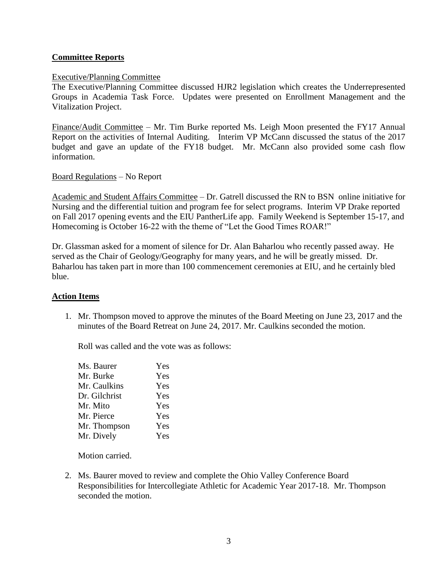## **Committee Reports**

### Executive/Planning Committee

The Executive/Planning Committee discussed HJR2 legislation which creates the Underrepresented Groups in Academia Task Force. Updates were presented on Enrollment Management and the Vitalization Project.

Finance/Audit Committee – Mr. Tim Burke reported Ms. Leigh Moon presented the FY17 Annual Report on the activities of Internal Auditing. Interim VP McCann discussed the status of the 2017 budget and gave an update of the FY18 budget. Mr. McCann also provided some cash flow information.

Board Regulations – No Report

Academic and Student Affairs Committee – Dr. Gatrell discussed the RN to BSN online initiative for Nursing and the differential tuition and program fee for select programs. Interim VP Drake reported on Fall 2017 opening events and the EIU PantherLife app. Family Weekend is September 15-17, and Homecoming is October 16-22 with the theme of "Let the Good Times ROAR!"

Dr. Glassman asked for a moment of silence for Dr. Alan Baharlou who recently passed away. He served as the Chair of Geology/Geography for many years, and he will be greatly missed. Dr. Baharlou has taken part in more than 100 commencement ceremonies at EIU, and he certainly bled blue.

#### **Action Items**

1. Mr. Thompson moved to approve the minutes of the Board Meeting on June 23, 2017 and the minutes of the Board Retreat on June 24, 2017. Mr. Caulkins seconded the motion.

Roll was called and the vote was as follows:

| Ms. Baurer    | Yes |
|---------------|-----|
| Mr. Burke     | Yes |
| Mr. Caulkins  | Yes |
| Dr. Gilchrist | Yes |
| Mr. Mito      | Yes |
| Mr. Pierce    | Yes |
| Mr. Thompson  | Yes |
| Mr. Dively    | Yes |

Motion carried.

2. Ms. Baurer moved to review and complete the Ohio Valley Conference Board Responsibilities for Intercollegiate Athletic for Academic Year 2017-18. Mr. Thompson seconded the motion.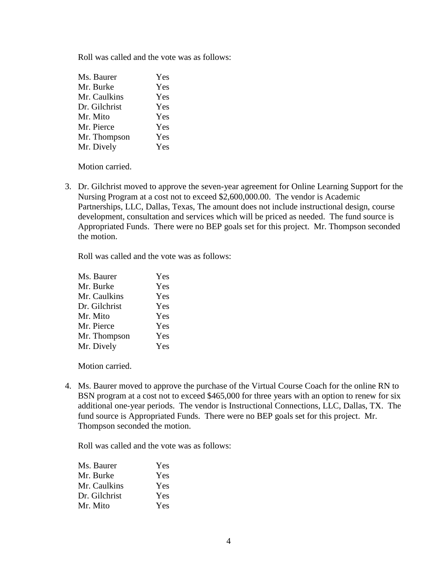Roll was called and the vote was as follows:

| Ms. Baurer    | Yes |
|---------------|-----|
| Mr. Burke     | Yes |
| Mr. Caulkins  | Yes |
| Dr. Gilchrist | Yes |
| Mr. Mito      | Yes |
| Mr. Pierce    | Yes |
| Mr. Thompson  | Yes |
| Mr. Dively    | Yes |

Motion carried.

3. Dr. Gilchrist moved to approve the seven-year agreement for Online Learning Support for the Nursing Program at a cost not to exceed \$2,600,000.00. The vendor is Academic Partnerships, LLC, Dallas, Texas, The amount does not include instructional design, course development, consultation and services which will be priced as needed. The fund source is Appropriated Funds. There were no BEP goals set for this project. Mr. Thompson seconded the motion.

Roll was called and the vote was as follows:

| Ms. Baurer    | Yes |
|---------------|-----|
| Mr. Burke     | Yes |
| Mr. Caulkins  | Yes |
| Dr. Gilchrist | Yes |
| Mr. Mito      | Yes |
| Mr. Pierce    | Yes |
| Mr. Thompson  | Yes |
| Mr. Dively    | Yes |

Motion carried.

4. Ms. Baurer moved to approve the purchase of the Virtual Course Coach for the online RN to BSN program at a cost not to exceed \$465,000 for three years with an option to renew for six additional one-year periods. The vendor is Instructional Connections, LLC, Dallas, TX. The fund source is Appropriated Funds. There were no BEP goals set for this project. Mr. Thompson seconded the motion.

Roll was called and the vote was as follows:

| Ms. Baurer    | Yes |
|---------------|-----|
| Mr. Burke     | Yes |
| Mr. Caulkins  | Yes |
| Dr. Gilchrist | Yes |
| Mr. Mito      | Yes |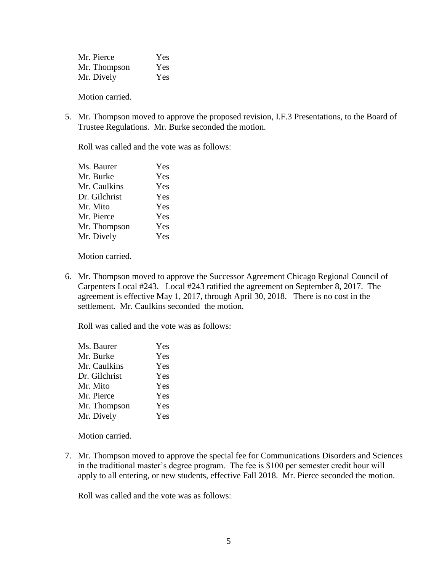| Mr. Pierce   | <b>Yes</b> |
|--------------|------------|
| Mr. Thompson | Yes        |
| Mr. Dively   | Yes        |

Motion carried.

5. Mr. Thompson moved to approve the proposed revision, I.F.3 Presentations, to the Board of Trustee Regulations. Mr. Burke seconded the motion.

Roll was called and the vote was as follows:

| Ms. Baurer    | Yes |
|---------------|-----|
| Mr. Burke     | Yes |
| Mr. Caulkins  | Yes |
| Dr. Gilchrist | Yes |
| Mr. Mito      | Yes |
| Mr. Pierce    | Yes |
| Mr. Thompson  | Yes |
| Mr. Dively    | Yes |
|               |     |

Motion carried.

6. Mr. Thompson moved to approve the Successor Agreement Chicago Regional Council of Carpenters Local #243. Local #243 ratified the agreement on September 8, 2017. The agreement is effective May 1, 2017, through April 30, 2018. There is no cost in the settlement. Mr. Caulkins seconded the motion.

Roll was called and the vote was as follows:

| Ms. Baurer    | Yes |
|---------------|-----|
| Mr. Burke     | Yes |
| Mr. Caulkins  | Yes |
| Dr. Gilchrist | Yes |
| Mr. Mito      | Yes |
| Mr. Pierce    | Yes |
| Mr. Thompson  | Yes |
| Mr. Dively    | Yes |
|               |     |

Motion carried.

7. Mr. Thompson moved to approve the special fee for Communications Disorders and Sciences in the traditional master's degree program. The fee is \$100 per semester credit hour will apply to all entering, or new students, effective Fall 2018. Mr. Pierce seconded the motion.

Roll was called and the vote was as follows: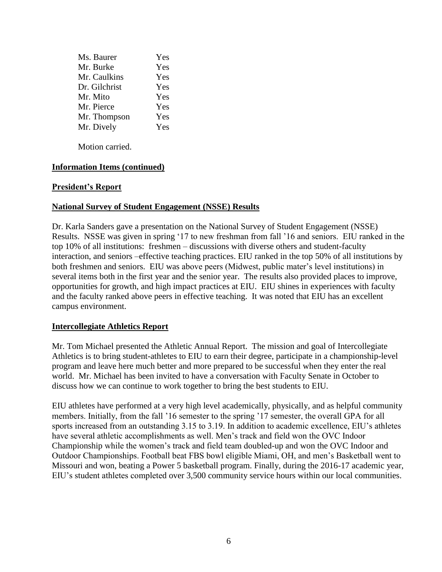| Yes |
|-----|
| Yes |
| Yes |
| Yes |
| Yes |
| Yes |
| Yes |
| Yes |
|     |

Motion carried.

## **Information Items (continued)**

## **President's Report**

## **National Survey of Student Engagement (NSSE) Results**

Dr. Karla Sanders gave a presentation on the National Survey of Student Engagement (NSSE) Results. NSSE was given in spring '17 to new freshman from fall '16 and seniors. EIU ranked in the top 10% of all institutions: freshmen – discussions with diverse others and student-faculty interaction, and seniors –effective teaching practices. EIU ranked in the top 50% of all institutions by both freshmen and seniors. EIU was above peers (Midwest, public mater's level institutions) in several items both in the first year and the senior year. The results also provided places to improve, opportunities for growth, and high impact practices at EIU. EIU shines in experiences with faculty and the faculty ranked above peers in effective teaching. It was noted that EIU has an excellent campus environment.

## **Intercollegiate Athletics Report**

Mr. Tom Michael presented the Athletic Annual Report. The mission and goal of Intercollegiate Athletics is to bring student-athletes to EIU to earn their degree, participate in a championship-level program and leave here much better and more prepared to be successful when they enter the real world. Mr. Michael has been invited to have a conversation with Faculty Senate in October to discuss how we can continue to work together to bring the best students to EIU.

EIU athletes have performed at a very high level academically, physically, and as helpful community members. Initially, from the fall '16 semester to the spring '17 semester, the overall GPA for all sports increased from an outstanding 3.15 to 3.19. In addition to academic excellence, EIU's athletes have several athletic accomplishments as well. Men's track and field won the OVC Indoor Championship while the women's track and field team doubled-up and won the OVC Indoor and Outdoor Championships. Football beat FBS bowl eligible Miami, OH, and men's Basketball went to Missouri and won, beating a Power 5 basketball program. Finally, during the 2016-17 academic year, EIU's student athletes completed over 3,500 community service hours within our local communities.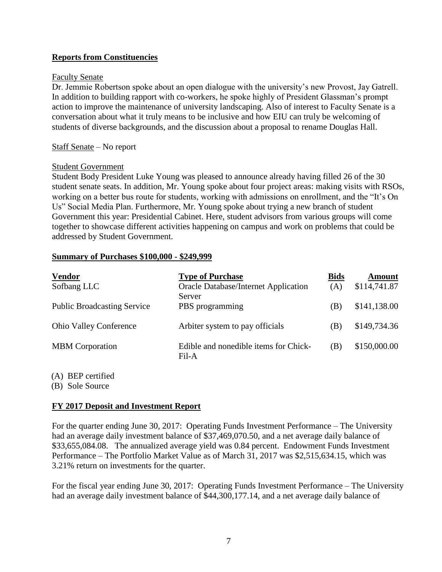# **Reports from Constituencies**

### Faculty Senate

Dr. Jemmie Robertson spoke about an open dialogue with the university's new Provost, Jay Gatrell. In addition to building rapport with co-workers, he spoke highly of President Glassman's prompt action to improve the maintenance of university landscaping. Also of interest to Faculty Senate is a conversation about what it truly means to be inclusive and how EIU can truly be welcoming of students of diverse backgrounds, and the discussion about a proposal to rename Douglas Hall.

## Staff Senate – No report

## Student Government

Student Body President Luke Young was pleased to announce already having filled 26 of the 30 student senate seats. In addition, Mr. Young spoke about four project areas: making visits with RSOs, working on a better bus route for students, working with admissions on enrollment, and the "It's On Us" Social Media Plan. Furthermore, Mr. Young spoke about trying a new branch of student Government this year: Presidential Cabinet. Here, student advisors from various groups will come together to showcase different activities happening on campus and work on problems that could be addressed by Student Government.

#### **Summary of Purchases \$100,000 - \$249,999**

| <b>Vendor</b>                      | <b>Type of Purchase</b>                               | <b>Bids</b> | Amount       |
|------------------------------------|-------------------------------------------------------|-------------|--------------|
| Sofbang LLC                        | <b>Oracle Database/Internet Application</b><br>Server | (A)         | \$114,741.87 |
| <b>Public Broadcasting Service</b> | PBS programming                                       | (B)         | \$141,138.00 |
| <b>Ohio Valley Conference</b>      | Arbiter system to pay officials                       | (B)         | \$149,734.36 |
| <b>MBM</b> Corporation             | Edible and nonedible items for Chick-<br>Fil-A        | (B)         | \$150,000.00 |

(A) BEP certified

(B) Sole Source

## **FY 2017 Deposit and Investment Report**

For the quarter ending June 30, 2017: Operating Funds Investment Performance – The University had an average daily investment balance of \$37,469,070.50, and a net average daily balance of \$33,655,084.08. The annualized average yield was 0.84 percent. Endowment Funds Investment Performance – The Portfolio Market Value as of March 31, 2017 was \$2,515,634.15, which was 3.21% return on investments for the quarter.

For the fiscal year ending June 30, 2017: Operating Funds Investment Performance – The University had an average daily investment balance of \$44,300,177.14, and a net average daily balance of